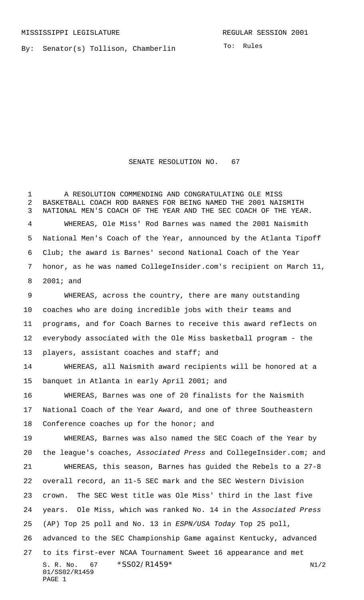By: Senator(s) Tollison, Chamberlin

To: Rules

## SENATE RESOLUTION NO. 67

 A RESOLUTION COMMENDING AND CONGRATULATING OLE MISS BASKETBALL COACH ROD BARNES FOR BEING NAMED THE 2001 NAISMITH NATIONAL MEN'S COACH OF THE YEAR AND THE SEC COACH OF THE YEAR. WHEREAS, Ole Miss' Rod Barnes was named the 2001 Naismith National Men's Coach of the Year, announced by the Atlanta Tipoff Club; the award is Barnes' second National Coach of the Year honor, as he was named CollegeInsider.com's recipient on March 11, 2001; and

 WHEREAS, across the country, there are many outstanding coaches who are doing incredible jobs with their teams and programs, and for Coach Barnes to receive this award reflects on everybody associated with the Ole Miss basketball program - the players, assistant coaches and staff; and

 WHEREAS, all Naismith award recipients will be honored at a banquet in Atlanta in early April 2001; and

 WHEREAS, Barnes was one of 20 finalists for the Naismith National Coach of the Year Award, and one of three Southeastern 18 Conference coaches up for the honor; and

S. R. No. \*SS02/R1459\* N1/2 01/SS02/R1459 PAGE 1 WHEREAS, Barnes was also named the SEC Coach of the Year by 20 the league's coaches, Associated Press and CollegeInsider.com; and WHEREAS, this season, Barnes has guided the Rebels to a 27-8 overall record, an 11-5 SEC mark and the SEC Western Division crown. The SEC West title was Ole Miss' third in the last five years. Ole Miss, which was ranked No. 14 in the Associated Press (AP) Top 25 poll and No. 13 in ESPN/USA Today Top 25 poll, advanced to the SEC Championship Game against Kentucky, advanced to its first-ever NCAA Tournament Sweet 16 appearance and met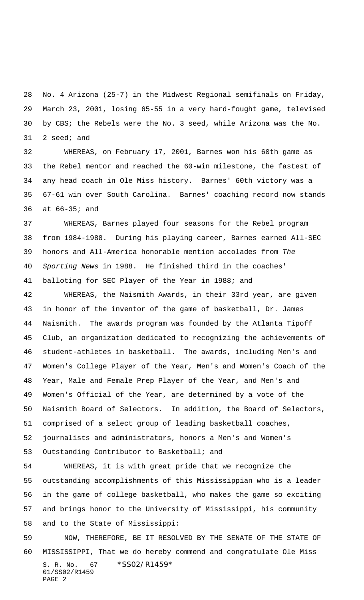No. 4 Arizona (25-7) in the Midwest Regional semifinals on Friday, March 23, 2001, losing 65-55 in a very hard-fought game, televised by CBS; the Rebels were the No. 3 seed, while Arizona was the No. 2 seed; and

 WHEREAS, on February 17, 2001, Barnes won his 60th game as the Rebel mentor and reached the 60-win milestone, the fastest of any head coach in Ole Miss history. Barnes' 60th victory was a 67-61 win over South Carolina. Barnes' coaching record now stands at 66-35; and

 WHEREAS, Barnes played four seasons for the Rebel program from 1984-1988. During his playing career, Barnes earned All-SEC honors and All-America honorable mention accolades from The Sporting News in 1988. He finished third in the coaches' balloting for SEC Player of the Year in 1988; and

 WHEREAS, the Naismith Awards, in their 33rd year, are given in honor of the inventor of the game of basketball, Dr. James Naismith. The awards program was founded by the Atlanta Tipoff Club, an organization dedicated to recognizing the achievements of student-athletes in basketball. The awards, including Men's and Women's College Player of the Year, Men's and Women's Coach of the Year, Male and Female Prep Player of the Year, and Men's and Women's Official of the Year, are determined by a vote of the Naismith Board of Selectors. In addition, the Board of Selectors, comprised of a select group of leading basketball coaches, journalists and administrators, honors a Men's and Women's Outstanding Contributor to Basketball; and

 WHEREAS, it is with great pride that we recognize the outstanding accomplishments of this Mississippian who is a leader in the game of college basketball, who makes the game so exciting and brings honor to the University of Mississippi, his community and to the State of Mississippi:

S. R. No. 67 \* SS02/R1459\* 01/SS02/R1459 PAGE 2 NOW, THEREFORE, BE IT RESOLVED BY THE SENATE OF THE STATE OF MISSISSIPPI, That we do hereby commend and congratulate Ole Miss